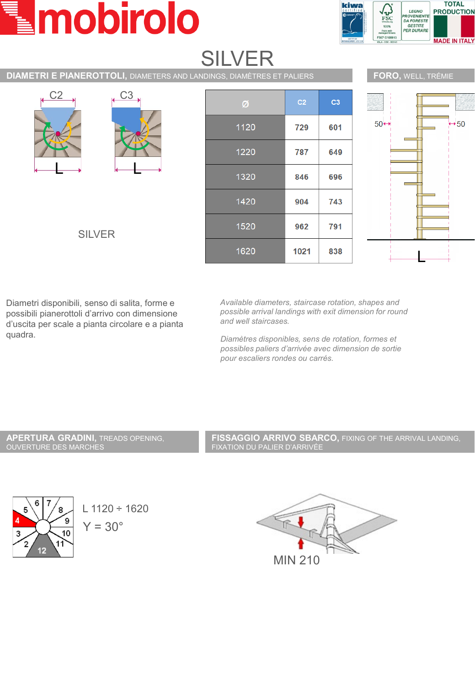# mobirolo



| <b>SILVER</b>                                                                |      |                |                |                               |
|------------------------------------------------------------------------------|------|----------------|----------------|-------------------------------|
| <b>DIAMETRI E PIANEROTTOLI, DIAMETERS AND LANDINGS, DIAMÈTRES ET PALIERS</b> |      |                |                | FORO, WELL, TRÉMIE            |
| C <sub>2</sub><br>C <sub>3</sub><br><b>SILVER</b>                            | Ø    | C <sub>2</sub> | C <sub>3</sub> |                               |
|                                                                              | 1120 | 729            | 601            | $+50$<br>$50 \leftrightarrow$ |
|                                                                              | 1220 | 787            | 649            |                               |
|                                                                              | 1320 | 846            | 696            |                               |
|                                                                              | 1420 | 904            | 743            |                               |
|                                                                              | 1520 | 962            | 791            |                               |
|                                                                              | 1620 | 1021           | 838            |                               |

**CILVED** 

Diametri disponibili, senso di salita, forme e possibili pianerottoli d'arrivo con dimensione d'uscita per scale a pianta circolare e a pianta quadra.

*Available diameters, staircase rotation, shapes and possible arrival landings with exit dimension for round and well staircases.*

*Diamètres disponibles, sens de rotation, formes et possibles paliers d'arrivée avec dimension de sortie pour escaliers rondes ou carrés.*

### **APERTURA GRADINI,** TREADS OPENING, OUVERTURE DES MARCHES

**FISSAGGIO ARRIVO SBARCO,** FIXING OF THE ARRIVAL LANDING, FIXATION DU PALIER D'ARRIVÉE





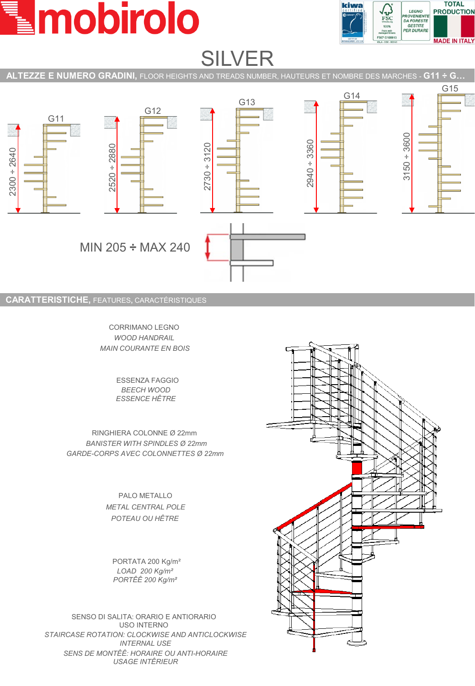



## SILVER

**ALTEZZE E NUMERO GRADINI,** FLOOR HEIGHTS AND TREADS NUMBER, HAUTEURS ET NOMBRE DES MARCHES - **G11 ÷ G…**



CORRIMANO LEGNO *WOOD HANDRAIL MAIN COURANTE EN BOIS*

> ESSENZA FAGGIO *BEECH WOOD ESSENCE HÊTRE*

RINGHIERA COLONNE Ø 22mm *BANISTER WITH SPINDLES Ø 22mm GARDE-CORPS AVEC COLONNETTES Ø 22mm*

> PALO METALLO *METAL CENTRAL POLE POTEAU OU HÊTRE*

PORTATA 200 Kg/m² *LOAD 200 Kg/m² PORTÊÊ 200 Kg/m²*

SENSO DI SALITA: ORARIO E ANTIORARIO USO INTERNO *STAIRCASE ROTATION: CLOCKWISE AND ANTICLOCKWISE INTERNAL USE SENS DE MONTÊÊ: HORAIRE OU ANTI-HORAIRE USAGE INTÊRIEUR*

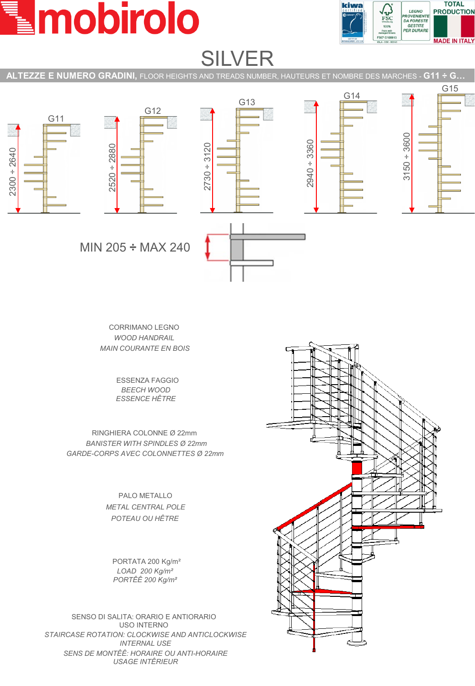## mobirolo



## SILVER

**ALTEZZE E NUMERO GRADINI,** FLOOR HEIGHTS AND TREADS NUMBER, HAUTEURS ET NOMBRE DES MARCHES - **G11 ÷ G…**



CORRIMANO LEGNO *WOOD HANDRAIL MAIN COURANTE EN BOIS*

> ESSENZA FAGGIO *BEECH WOOD ESSENCE HÊTRE*

RINGHIERA COLONNE Ø 22mm *BANISTER WITH SPINDLES Ø 22mm GARDE-CORPS AVEC COLONNETTES Ø 22mm*

> PALO METALLO *METAL CENTRAL POLE POTEAU OU HÊTRE*

PORTATA 200 Kg/m² *LOAD 200 Kg/m² PORTÊÊ 200 Kg/m²*

SENSO DI SALITA: ORARIO E ANTIORARIO USO INTERNO *STAIRCASE ROTATION: CLOCKWISE AND ANTICLOCKWISE INTERNAL USE SENS DE MONTÊÊ: HORAIRE OU ANTI-HORAIRE USAGE INTÊRIEUR*